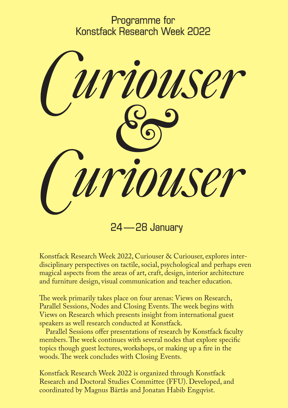Programme for Konstfack Research Week 2022



Konstfack Research Week 2022, Curiouser & Curiouser, explores interdisciplinary perspectives on tactile, social, psychological and perhaps even magical aspects from the areas of art, craft, design, interior architecture and furniture design, visual communication and teacher education.

The week primarily takes place on four arenas: Views on Research, Parallel Sessions, Nodes and Closing Events. The week begins with Views on Research which presents insight from international guest speakers as well research conducted at Konstfack.

Parallel Sessions offer presentations of research by Konstfack faculty members. The week continues with several nodes that explore specific topics though guest lectures, workshops, or making up a fire in the woods. The week concludes with Closing Events.

Konstfack Research Week 2022 is organized through Konstfack Research and Doctoral Studies Committee (FFU). Developed, and coordinated by Magnus Bärtås and Jonatan Habib Engqvist.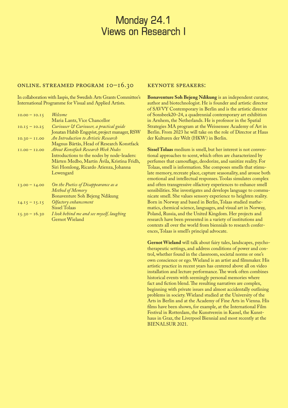# Monday 24.1 Views on Research I

## Online. Streamed program 10–16.30

In collaboration with Iaspis, the Swedish Arts Grants Committee's International Programme for Visual and Applied Artists.

| $IO.00 - IO.15$ | Welcome                                      |
|-----------------|----------------------------------------------|
|                 | Maria Lantz, Vice Chancellor                 |
| $IO.I5 = IO.25$ | Curiouser & Curiouser, a practical guide     |
|                 | Jonatan Habib Engqvist, project manager, RSW |
| $10.30 - 11.00$ | An Introduction to Artistic Research         |
|                 | Magnus Bärtås, Head of Research Konstfack    |
| $I1.00 - I2.00$ | <b>About Konstfack Research Week Nodes</b>   |
|                 | Introductions to the nodes by node-leaders:  |
|                 | Mårten Medbo, Martín Ávila, Kristina Fridh,  |
|                 | Siri Homlong, Ricardo Atienza, Johanna       |
|                 | Lewengard                                    |
| $13.00 - 14.00$ | On the Poetics of Disappearance as a         |
|                 | Method of Memory                             |
|                 | Bonaventure Soh Bejeng Ndikung               |
| $14.15 - 15.15$ | Olfactory enhancement                        |
|                 | <b>Sissel Tolaas</b>                         |
| $15.30 - 16.30$ | I look behind me and see myself, laughing    |
|                 | Gernot Wieland                               |

#### KEYNOTE SPEAKERS:

**Bonaventure Soh Bejeng Ndikung** is an independent curator, author and biotechnologist. He is founder and artistic director of SAVVY Contemporary in Berlin and is the artistic director of Sonsbeek20–24, a quadrennial contemporary art exhibition in Arnhem, the Netherlands. He is professor in the Spatial Strategies MA program at the Weissensee Academy of Art in Berlin. From 2023 he will take on the role of Director at Haus der Kulturen der Welt (HKW) in Berlin.

**Sissel Tolaas** medium is smell, but her interest is not conventional approaches to scent, which often are characterized by perfumes that camouflage, deodorize, and sanitize reality. For Tolaas, smell is information. She composes smells that stimulate memory, recreate place, capture seasonality, and arouse both emotional and intellectual responses. Toolas simulates complex and often transgressive olfactory experiences to enhance smell sensibilities. She investigates and develops language to communicate smell. She values sensory experience to heighten reality. Born in Norway and based in Berlin, Tolaas studied mathematics, chemical science, languages, and visual art in Norway, Poland, Russia, and the United Kingdom. Her projects and research have been presented in a variety of institutions and contexts all over the world from biennials to research conferences, Tolaas is smell's principal advocate.

**Gernot Wieland** will talk about fairy tales, landscapes, psychotherapeutic settings, and address conditions of power and control, whether found in the classroom, societal norms or one's own conscience or ego. Wieland is an artist and filmmaker. His artistic practice in recent years has centered above all on video installation and lecture performance. The work often combines historical events with seemingly personal memories where fact and fiction blend. The resulting narratives are complex, beginning with private issues and almost accidentally outlining problems in society. Wieland studied at the University of the Arts in Berlin and at the Academy of Fine Arts in Vienna. His films have been shown, for example, at the International Film Festival in Rotterdam, the Kunstverein in Kassel, the Kunsthaus in Graz, the Liverpool Biennial and most recently at the BIENALSUR 2021.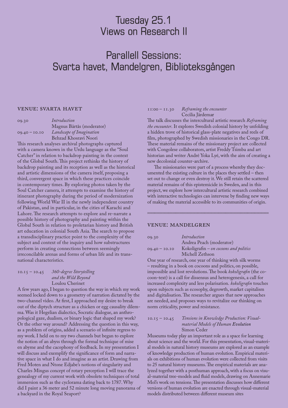# Tuesday 25.1 Views on Research II

# Parallell Sessions: Svarta havet, Mandelgren, Biblioteksgången

### Venue: Svarta Havet

| Introduction              |
|---------------------------|
| Magnus Bärtås (moderator) |
| Landscape of Imagination  |
| Behzad Khosravi Noori     |
|                           |

This research analyses archival photographs captured with a camera known in the Urdu language as the "Soul Catcher" in relation to backdrop painting in the context of the Global South. This project rethinks the history of backdrop painting and its reception as well as the historical and artistic dimensions of the camera itself, proposing a third, convergent space in which these practices coincide in contemporary times. By exploring photos taken by the Soul Catcher camera, it attempts to examine the history of itinerant photography during the period of modernization following World War II in the newly independent country of Pakistan, and in particular, in the cities of Karachi and Lahore. The research attempts to explore and re-narrate a possible history of photography and painting within the Global South in relation to proletarian history and British art education in colonial South Asia. The search to propose a transdisciplinary practice point to the complexity of the subject and context of the inquiry and how substructures perform in creating connections between seemingly irreconcilable arenas and forms of urban life and its transnational characteristics.

### 10.15 – 10.45 *360-degree Storytelling and the Wild Beyond* Loulou Cherinet

A few years ago, I began to question the way in which my work seemed locked down to a geometry of narration dictated by the two-channel video. At first, I approached my desire to break out of the diptych structure as a chicken or egg causality dilemma. Was it Hegelian dialectics, Socratic dialogue, an anthropological gaze, dualism, or binary logic that shaped my work? Or the other way around? Addressing the question in this way, as a problem of origins, added a scenario of infinite regress to my work. I held on to my two channels but began to explore the notion of an abyss through the formal technique of mise en abyme and the cacophony of feedback. In my presentation I will discuss and exemplify the significance of form and narrative space in what I do and imagine as an artist. Drawing from Fred Moten and Ntone Edjabe's notions of singularity and Charles Mingus concept of rotary perception I will trace the genealogy of my current work with obsolete techniques of total immersion such as the cyclorama dating back to 1787. Why did I paint a 36 meter and 52 minute long moving panorama of a backyard in the Royal Seaport?

#### 11:00 – 11.30 *Reframing the encounter* Cecilia Järdemar

The talk discusses the intercultural artistic research *Reframing the encounter*. It explores Swedish colonial history by unfolding a hidden trove of historical glass-plate negatives and reels of film, photographed by Swedish missionaries in the Congo DR. These material remains of the missionary project are collected with Congolese collaborators, artist Freddy Tsimba and art historian and writer André Yoka Lyé, with the aim of creating a new decolonial counter-archive.

The missionaries were part of a process whereby they documented the existing culture in the places they settled – then set out to change or even destroy it. We still retain the scattered material remains of this epistemicide in Sweden, and in this project, we explore how intercultural artistic research combined with interactive technologies can intervene by finding new ways of making the material accessible to its communities of origin.

#### 44444444444444444

#### Venue: Mandelgren

| 09.30           | Introduction                           |
|-----------------|----------------------------------------|
|                 | Andrea Peach (moderator)               |
| $09.40 - 10.10$ | Kokoligrafin - on cocoons and politics |
|                 | Michell Zethson                        |

One year of research, one year of thinking with silk worms – resulting in a book on cocoons and politics, on possible, impossible and lost revolutions. The book *kokoligrafin* (the cocoon-text) is a call for dissensus and heterogenesis, a call for increased complexity and less polarisation. *kokoligrafin* touches upon subjects such as ecosophy, degrowth, market capitalism and digitalisation. The researcher argues that new approaches are needed, and proposes ways to revitalize our thinking on norm criticality, power and resistance.

10.15 – 10.45 *Tensions in Knowledge Production: Visualmaterial Models of Human Evolution* Simon Ceder

Museums today play an important role as a space for learning about science and the world. For this presentation, visual-material models in natural history museums are explored as an example of knowledge production of human evolution. Empirical materials on exhibitions of human evolution were collected from visits to 25 natural history museums. The empirical materials are analyzed together with a posthuman approach, with a focus on visual-material tree-models and fluid models, drawing on Annemarie Mol's work on tensions. The presentation discusses how different versions of human evolution are enacted through visual-material models distributed between different museum sites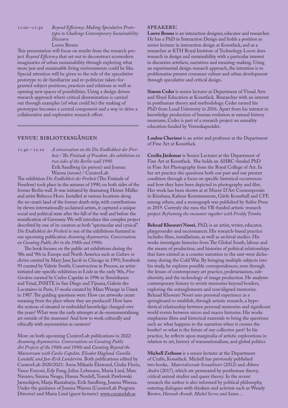11.00 –11:30 *Beyond Efficiency: Making Speculative Prototypes to Challenge Contemporary Sustainability Discourse* Loove Broms

This presentation will focus on results from the research project *Beyond Efficiency* that set out to deconstruct ecomodern imaginaries of urban sustainability through exploring what more just and sustainable living environments could be like. Special attention will be given to the role of the speculative prototype to de-familiarize and re-politicize taken-forgranted subject positions, practices and relations as well as opening new spaces of possibilities. Using a design driven research approach where critical dissemination is carried out through examples (of what could be) the making of prototypes becomes a central component and a way to drive a collaborative and explorative research effort.

# Venue: Biblioteksgången

11.40 – 12.10 *A conversation on the Die Endlichkeit der Freiheit / The Finitude of Freedom. An exhibition on two sides of the Berlin wall 1990.* Erik Sandberg (in person) and Joanna Warsza (zoom) / CuratorLab

44444444444444444

The exhibition *Die Endlichkeit der Freiheit* (The Finitude of Freedom) took place in the autumn of 1990, on both sides of the former Berlin wall. It was initiated by dramaturg Heiner Müller and artist Rebecca Horn. Installed at various locations along the no-man's land of the former death strip, with contributions by eleven internationally acclaimed artists, it captured a unique social and political state after the fall of the wall and before the reunification of Germany. We will introduce this complex project described by one of its curators as both "spectacular and cynical". *Die Endlichkeit der Freiheit* is one of the exhibitions featured in our upcoming publication *Assuming Asymmetries. Conversations on Curating Public Art in the 1980s and 1990s.*

The book focuses on the public art exhibitions during the '80s and '90s in Europe and North America such as *Culture in Action* curated by Mary Jane Jacob in Chicago in 1993; Sonsbeek 93 curated by Valerie Smith; Construction in Process, an artistinitiated site-specific exhibition in Łódz in the early '80s, *Five Gardens* curated by Carlos Capelán in 1996 in Simrishamn and Ystad, INSITE in San Diego and Tijuana, Galerie des Locataires in Paris, *U-media* curated by Måns Wrange in Umeå in 1987. The guiding questions were: How can artworks create meaning from the place where they are produced? How have the notions of situated or embedded knowledge changed over the years? What were the early attempts at de-monumentalising art outside of the museum? And how to work culturally and ethically with asymmetries as curators?

More on both upcoming CuratorLab publications in 2022: *Assuming Asymmetries. Conversations on Curating Public Art Projects of the 1980s and 1990s* and *Curating Beyond the Mainstream with Carlos Capelán, Elisabet Haglund, Gunilla Lundahl, and Jan-Erik Lundström.* Both publications edited by CuratorLab 2020/2021: Anna Mikaela Ekstrand, Giulia Floris, Vasco Forconi, Edy Fung, Julius Lehmann, Maria Lind, Marc Navarro, Simina Neagu, Hanna Nordell, Tomek Pawłowski Jarmołajew, Marja Rautaharju, Erik Sandberg, Joanna Warsza. Under the guidance of Joanna Warsza (CuratorLab Program Director) and Maria Lind (guest lecturer). www.curatorlab.se

### Speakers:

**Loove Broms** is an interaction designer, educator and researcher. He has a PhD in Interaction Design and holds a position as senior lecturer in interaction design at Konstfack, and as a researcher at KTH Royal Institute of Technology. Loove does research in design and sustainability with a particular interest in discursive artefacts, narratives and meaning-making. Using an experimental design research approach, the intention is to problematise present consumer culture and urban development through speculative and critical design.

**Simon Ceder** is senior lecturer at Department of Visual Arts and Sloyd Education at Konstfack. Researcher with an interest in posthuman theory and methodology. Ceder earned his PhD from Lund University in 2016. Apart from his interest in knowledge production of human evolution at natural history museums, Ceder is part of a research project on sexuality education funded by Vetenskapsrådet.

**Loulou Cherinet** is an artist and professor at the Department of Fine Art at Konstfack.

**Cecilia Järdemar** is Senior Lecturer at the Department of Fine Art at Konstfack. She holds an AHRC-funded PhD in Fine Art Photography from the Royal College of Art. In her art practice she questions both our past and our present condition through a focus on specific historical occurrences and how they have been depicted in photography and film. Her work has been shown at at Museé D'Art Contemporain in Kinshasa, Kalmar Konstmuseum, Gävle Konsthall and CFF, among others, and a monograph was published by Sailor Press in 2019. Currenly she runs the VR-funded artistic research project *Reframing the encounter together with Freddy Tsimba.*

**Behzad Khosravi Noori**, PhD, is an artist, writer, educator, playgrounder and necromancer. His research-based practice includes films, installations, as well as archival studies. His works investigate histories from The Global South, labour and the means of production, and histories of political relationships that have existed as a counter narration to the east-west dichotomy during the Cold War. By bringing multiple subjects into his study, he explores possible correspondences, seen through the lenses of contemporary art practice, proletarianism, subalternity, and the technology of image production. He analyses contemporary history to revisit memories beyond borders, exploring the entanglements and non/aligned memories. Behzad Khosravi Noori uses personal experience as a springboard to establish, through artistic research, a hypothetical relationship between personal memories and significant world events between micro and macro histories. His works emphasize films and historical materials to bring the questions such as: what happens to the narration when it crosses the border? or what is the future of our collective past? In his practice, he reflects upon marginalia of artistic explorations in relation to art, history of transnationalism, and global politics

**Michell Zethson** is a senior lecturer at the Department of Crafts, Konstfack. Michell has previously published two books,  *Materialiserade Sexualiteter* (2012) and *Ätbara Andra* (2017), which are permeated by posthuman theory, critical animal studies and queer theory. In the recent research the author is also informed by political philosophy, entering dialogues with thinkers and activists such as Wendy Brow*n, Hannah Arendt, Michel Serres and Satan ...*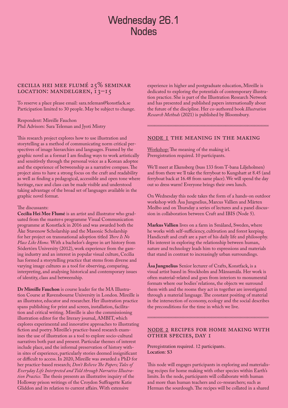# Wednesday 26.1 **Nodes**

# Cecilia Hei Mee Flumé 25% Seminar LOCATION: MANDELGREN, 13-15

To reserve a place please email: sara.teleman@konstfack.se Participation limited to 30 people. May be subject to change.

Respondent: Mireille Fauchon Phd Advisors: Sara Teleman and Jyoti Mistry

This research project explores how to use illustration and storytelling as a method of communicating norm critical perspectives of image hierarchies and languages. Framed by the graphic novel as a format I am finding ways to work artistically and sensitively through the personal voice as a Korean adoptee and the experience of betweenship as a narrative compass. The project aims to have a strong focus on the craft and readability as well as finding a pedagogical, accessible and open tone where heritage, race and class can be made visible and understood taking advantage of the broad set of languages available in the graphic novel format.

#### The discussants:

**Cecilia Hei Mee Flumé** is an artist and illustrator who graduated from the master›s programme Visual Communication programme at Konstfack in 2016 and was awarded both the Åke Stavenow Scholarship and the Masonic Scholarship for her project on transnational adoption titled *There Is No Place Like Home.* With a bachelor's degree in art history from Södertörn University (2012), work experience from the gaming industry and an interest in popular visual culture, Cecilia has formed a storytelling practice that stems from diverse and varying image cultures as a tool for observing, comparing, interpreting, and analysing historical and contemporary issues of identity, class and betweenship.

**Dr Mireille Fauchon** is course leader for the MA Illustration Course at Ravensbourne University in London. Mireille is an illustrator, educator and researcher. Her illustration practice spans publishing for print and screen, installation, facilitation and critical writing. Mireille is also the commissioning illustration editor for the literary journal, AMBIT, which explores experimental and innovative approaches to illustrating fiction and poetry. Mireille's practice-based research examines the use of illustration as a tool to explore socio-cultural narratives both past and present. Particular themes of interest include place, and the informal preservation of history within sites of experience, particularly stories deemed insignificant or difficult to access. In 2020, Mireille was awarded a PhD for her practice-based research; *Don't Believe The Papers; Tales of Everyday Life Interpreted and Told through Narrative Illustration Practice.* The thesis presents an illustrative inquiry of the Holloway prison writings of the Croydon Suffragette Katie Gliddon and its relation to current affairs. With extensive

experience in higher and postgraduate education, Mireille is dedicated to exploring the potentials of contemporary illustration practice. She is part of the Illustration Research Network and has presented and published papers internationally about the future of the discipline. Her co-authored book *Illustration Research Methods* (2021) is published by Bloomsbury.

44444444444444444

#### Node 1 The Meaning in The Making

Workshop: The meaning of the making irl. Preregistration required. 10 participants.

We'll meet at Ekensberg (buss 133 from T-bana Liljeholmen) and from there we´ll take the ferryboat to Kungshatt at 8.45 (and ferryboat back at 16.48 from same place). We will spend the day out so dress warm! Everyone brings their own lunch.

On Wednesday this node takes the form of a hands-on outdoor workshop with Åsa Jungnelius, Marcus Vallien and Mårten Medbo and on Thursday a series of lectures and a panel discussion in collaboration between Craft and IBIS (Node 5).

**Markus Vallien** lives on a farm in Småland, Sweden, where he works with self-sufficiency, cultivation and forest keeping. Handicraft and craft are a part of his daily life and philosophy. His interest in exploring the relationship between human, nature and technology leads him to expressions and materials that stand in contrast to increasingly urban surroundings.

**Åsa Jungnelius** Senior lecturer of Crafts, Konstfack, is a visual artist based in Stockholm and Månsamåla. Her work is often material-related and goes from interiors to monumental formats where our bodies' relations, the objects we surround them with and the rooms they act in together are investigated through a material language. The constant positing of material in the intersection of economy, ecology and the social describes the preconditions for the time in which we live.

### Node 2 Recipes for Home making with other species, day 1

44444444444444444

Preregistration required. 12 participants. Location: S3

This node will engages participants in exploring and materialising recipes for home making with other species within Earth's limits. In the node, participants will collaborate with human and more than human teachers and co-researchers; such as Herman the sourdough. The recipes will be collated in a shared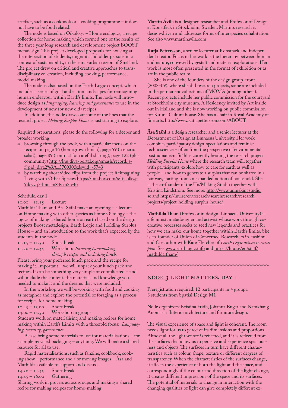artefact, such as a cookbook or a cooking programme – it does not have to be food related.

The node is based on Oikology – Home ecologics, a recipe collection for home making which formed one of the results of the three year long research and development project BOOST metadesign. This project developed proposals for housing at the intersection of students, migrants and older persons in a context of sustainability, in the rural-urban region of Småland. The project drew on critical and creative approaches to transdisciplinary co-creation, including cooking, performance, model making.

The node is also based on the Earth Logic concept, which includes a series of goal and action landscapes for reimagining human endeavour within Earth's limits. The node will introduce design as *languaging, learning and governance* to use in the development of new (or new old) recipes.

In addition, this node draws out some of the lines that the research project *Holding Surplus House* is just starting to explore.

Required preparations: please do the following for a deeper and broader working:

- $\bullet$  browsing through the book, with a particular focus on the recipes on page 16 (homegrown lunch), page 59 (scenario salad), page 89 (contract for careful sharing), page 122 (plus community) [http://lnu.diva-portal.org/smash/record.js](https://url11.mailanyone.net/v1/?m=1mhtSo-0007oO-3G&i=57e1b682&c=lfs6dhYhoX9hxuFJQcN9_nHIWldQxO-ZV40GhgMU7OOKAaKwhcXWfJQ_upIY7eDGpzc9QYxWqsEVxJDANvRaNlDRj4H-JNmwFvYWwhCO8vjmlukAw5I0OQ5rPl12y7n7-wWFFNTkzSbz553Y0D4lEe_ZMJTI01OCaXUmjpVpCQTLXm7Et3foTb_P1MkgB4AsiAI5oH1BppgmEBctMI3GyYAY2I4MRFSaCKXSpCOJbyUbkuEopxPkCimg9LHn7R8fmHFugwqfxHGUiqvCBcElVWGaG7WqBnOXvrkQPVrZi_U)[f?pid=diva2%3A1370030&dswid=-5743](https://url11.mailanyone.net/v1/?m=1mhtSo-0007oO-3G&i=57e1b682&c=lfs6dhYhoX9hxuFJQcN9_nHIWldQxO-ZV40GhgMU7OOKAaKwhcXWfJQ_upIY7eDGpzc9QYxWqsEVxJDANvRaNlDRj4H-JNmwFvYWwhCO8vjmlukAw5I0OQ5rPl12y7n7-wWFFNTkzSbz553Y0D4lEe_ZMJTI01OCaXUmjpVpCQTLXm7Et3foTb_P1MkgB4AsiAI5oH1BppgmEBctMI3GyYAY2I4MRFSaCKXSpCOJbyUbkuEopxPkCimg9LHn7R8fmHFugwqfxHGUiqvCBcElVWGaG7WqBnOXvrkQPVrZi_U)
- $\bullet$  by watching short video clips from the project Reimagining Living with Other Species [https://lnu.box.com/s/itjcolkzj-](https://lnu.box.com/s/itjcolkzj9dcyvq7rhnusm84vko2iv4p)[9dcyvq7rhnusm84vko2iv4p](https://lnu.box.com/s/itjcolkzj9dcyvq7rhnusm84vko2iv4p)

Schedule, day 1:<br> $10.00 - 11.15$  Lecture  $10.00 - 11.15$ 

Mathilda Tham and Åsa Ståhl make an opening – a lecture on Home making with other species as home Oikology – the logics of making a shared home on earth based on the design projects Boost metadesign, Earth Logic and Holding Surplus House – and an introduction to the work that's expected by the students in the node.<br> $11.15 - 11.30$  Short break

 $11.15 - 11.30$ 

11.30 – 12.45 Workshop: *Thinking homemaking through recipes and including lunch.*

Please, bring your preferred lunch pack and the recipe for making it. Important – we will unpack your lunch pack and recipes. It can be something very simple or complicated – and will include the content, the materials and knowledge you needed to make it and the dreams that were included.

In the workshop we will be working with food and cooking as metaphor and explore the potential of foraging as a process for recipes for home making.<br> $12.45 - 13.00$  Short break

 $12.45 - 13.00$ <br> $13.00 - 14.30$ 

Workshop in groups

Students work on materialising and making recipes for home making within Earth's Limits with a threefold focus: *Languaging, learning, governance*.

Please bring some materials to use for materialisations – for example recycled packaging – anything. We will make a shared resource for all to use.

Rapid materialisations, such as fanzine, cookbook, cooking show – performance and / or moving images – Åsa and Mathilda available to support and discuss.<br> $14.30 - 14.45$  Short break

 $14.30 - 14.45$  Short brea<br> $14.45 - 16.00$  Gathering

 $14.45 - 16.00$ 

Sharing work in process across groups and making a shared recipe for making recipes for home-making.

**Martín Ávila** is a designer, researcher and Professor of Design at Konstfack in Stockholm, Sweden. Martin's research is design-driven and addresses forms of interspecies cohabitation. See also [www.martinavila.com](http://www.martinavila.com)

**Katja Pettersson**, a senior lecturer at Konstfack and independent creator. Focus in her work is the hierarchy between human and nature, conveyed by gestalt and material explorations. Her work is most often presented in the format of exhibition or as art in the public realm.

She is one of the founders of the design group Front (2003–09), where she did research projects, some are included in the permanent collections of MOMA (among others). Recent projects include her public commission for the courtyard at Stockholm city museum, A Residency invited by Art inside out in Halland and she is now working on public commission for Kiruna Culture house. She has a chair in Royal Academy of fine arts. <http://www.katjapettersson.com/ABOUT>

**Åsa Ståhl** is a design researcher and a senior lecturer at the Department of Design at Linnaeus University. Her work combines participatory design, speculations and feminist technoscience – often from the perspective of environmental posthumanism. Ståhl is currently heading the research project *Holding Surplus House* where the research team will, together with participants, explore how to care for earth as well as people – and how to generate a surplus that can be shared in a fair way, starting from an expanded notion of household. She is the co-founder of the Un/Making Studio together with Kristina Lindström. See more: [http://www.unmakingstudio.](https://url11b.mailanyone.net/v1/?m=1n81vr-0007qd-5M&i=57e1b682&c=CRo9jviYhGzaRsNOto3ToOshg68gKnrsmFBBlR88kNvuWLhQz2P300C4sfxqseGTkVt0nMTSFWBGJu_YiFG0I8KyS8jjx5W9GGPlB8RFQBA_JfbsprfArxaU8OezkneMjnNKhmaulBlZbH-_k0-DR0j3PWQTuyw6BBD5ubdz6A1__GL-QFDeInopB2QUbu9IXoYJTYt5Vw8YnVJ-ESUH9PihdPorUvqGblKyFSax45A) [se](https://url11b.mailanyone.net/v1/?m=1n81vr-0007qd-5M&i=57e1b682&c=CRo9jviYhGzaRsNOto3ToOshg68gKnrsmFBBlR88kNvuWLhQz2P300C4sfxqseGTkVt0nMTSFWBGJu_YiFG0I8KyS8jjx5W9GGPlB8RFQBA_JfbsprfArxaU8OezkneMjnNKhmaulBlZbH-_k0-DR0j3PWQTuyw6BBD5ubdz6A1__GL-QFDeInopB2QUbu9IXoYJTYt5Vw8YnVJ-ESUH9PihdPorUvqGblKyFSax45A) and [https://lnu.se/en/research/searchresearch/research](https://url11b.mailanyone.net/v1/?m=1n81vr-0007qd-5M&i=57e1b682&c=jPUaHPzGvT1CweXF0dJPhH5qgVrN1quGbF1yGqs0T690B5cZZzXEh9Bzol8-UMCo25j1hdnmjnHqe2y1YkGiqY6kvlEGzFqRSXvEeKtQkxSz5Zh9gsIuC4kLsFbdERgvfyc3RDwD_Xxef4RT9D8oItP2D3IC4NzWzyt1FOmr8vrMUh4mgOa1ycmDQOGJGAg-P7GKZM0-eazU5cEYv5MF-meG9exyhwGs9QoYb6zOrS91af3tt31zoX7U4opVJtyqbQkrpa533BA3ajoAWjt0riu0MCLAohidt_4e9WPtvBQ1vl9JsElJOoflOGUwIJkR)[projects/project-holding-surplus-house/](https://url11b.mailanyone.net/v1/?m=1n81vr-0007qd-5M&i=57e1b682&c=jPUaHPzGvT1CweXF0dJPhH5qgVrN1quGbF1yGqs0T690B5cZZzXEh9Bzol8-UMCo25j1hdnmjnHqe2y1YkGiqY6kvlEGzFqRSXvEeKtQkxSz5Zh9gsIuC4kLsFbdERgvfyc3RDwD_Xxef4RT9D8oItP2D3IC4NzWzyt1FOmr8vrMUh4mgOa1ycmDQOGJGAg-P7GKZM0-eazU5cEYv5MF-meG9exyhwGs9QoYb6zOrS91af3tt31zoX7U4opVJtyqbQkrpa533BA3ajoAWjt0riu0MCLAohidt_4e9WPtvBQ1vl9JsElJOoflOGUwIJkR)

**Mathilda Tham** (Professor in design, Linnaeus University) is a feminist, metadesigner and activist whose work through cocreative processes seeks to seed new legends and practices for how we can make our home together within Earth's limits. She is co-founder of Union of Concerned Researchers in Fashion and Co-author with Kate Fletcher of *Earth Logic action research plan*. See [www.earthlogic.info](https://url11b.mailanyone.net/v1/?m=1n81vr-0007qd-5M&i=57e1b682&c=p7k8L-u5Zocl4IDuxrY8NXktSLEkDNqMJuLsmJ5uASU-YgWzjx4Br5cpe8c-iNGXdI6Gxon2tlsUfZ3i9nGSGwddFV-HfS7xFe0zfSVdgCgZTAJJ1l3vuTVk2oXDLQSI5PmmrjYsGZQXsrksfy4omlZ6um5MdU5fnPZKPlTaUCxDUIw-9fpwzKYi3LHPCBR-cI7w_9RSqLfqX8z7QDcnzkwv7nzCcAYPvbpFuUVmVHPEURwI1_kcX7BboCviHS_RtRWwWKOYVVbAt57Wdq2L0st2FqRj074i0dBmCWfbgtEWHrw0PQMWHAi_584wSeYhWrDVebzFql_GSC6c51EFT7pCbpWw8XAZuYB5DdcY4Y7oF_gYunjdpERLwjMkYy7VfVk7qsRCRr7IuHHS5pmk1B8aREth_UiPqEFAQ7KFGFoNWoRxYt_uSXC51Sc9otqAD7Bu_tXHNEtCv2Viqjthvh_5KoUxsIzE10mr52R_deHf7XNp9TKeeSZTKa6Xsove4f42tdwjDYc85vdFMQt1Tf0kshdUCBIPXkgkTvz0FibaZDeMM5t0Q1cCRoc4CArQUbZTvYavJEpIzz_gMSfVzHhaLzWSgxlidZFq4u0bb3eqspTFDFFDAFqBHO9dnXD3wB5xaDY_I2xEHB0R7Pv3MaLCXIFLnfulArKNnHwtptCaA5eoCE5C3MSocd03wG9HQLn-DySW6PgXDxFnz02x5g) and [https://lnu.se/en/staff/](https://url11b.mailanyone.net/v1/?m=1n81vr-0007qd-5M&i=57e1b682&c=iKMIpiJ2-lxc1b2sHMmjOJIapGmd8DlM4WGEs82jtE6eeNXJPzY-3QFks1WWIWBPZaEnKw9rhFT-9GnC7yNvemqxdgZL5vE4vFd153aozKrcj4TZ4na4wQDdTp2tQ4In16DFsZkvWbDT0QC6uhL-obNjz5vTnHhApPhtkfApGGxB_5XmDhcdCwo_hMKZuKW505kEXNhTCq2uRHV8Zqgdkt-VvqbcKcvNluOmlS31bHysmAApzZZzzqi2Bb3-KsW_5T-7NZl0SAU97oszQptOtE-_WaRmHAR9HSNhn_u4uN4OUOiE_v2Pm-JMH-r_wiRxuAYNjyTnwEnsw_pRXhZe4a9vHiAXP6g7U9bZ_urcc65dF20P1DRdUMGbBHGBTnBslng7MPsJUBYz5XiNoMfmu2bS2GWvsJnuRDpCoQ0PgaPadf8A-Fx7rYs5PxxQl0Gl6DqTeBkB4tf7hAPSk2L8ZPQ_XO3adJt8xWr5KoKmFB_RNndZHMy_FZOMaysQavuCcltVDrYApHd8Bu7dkrd_m3WFFMlvt6PohhqPZlMsjF2PyiJmWAL5Mxu_jPnivrmHRmo53E-j_neB78zOiNtNjWPZSYZAmifnTLz9nTEU-XLG4ysmTk2GWPscdtJKjAkJxCFwEUtxCsmBj98hYF3R2vzVJhFMARKudzOpJRNpEzI3PkJcZduggo2SFl2XJKTmUYhHHe9uSLCw_HaukHGIprcYMiS2ZBI3zNULcOUkSm8) [mathilda.tham/](https://url11b.mailanyone.net/v1/?m=1n81vr-0007qd-5M&i=57e1b682&c=iKMIpiJ2-lxc1b2sHMmjOJIapGmd8DlM4WGEs82jtE6eeNXJPzY-3QFks1WWIWBPZaEnKw9rhFT-9GnC7yNvemqxdgZL5vE4vFd153aozKrcj4TZ4na4wQDdTp2tQ4In16DFsZkvWbDT0QC6uhL-obNjz5vTnHhApPhtkfApGGxB_5XmDhcdCwo_hMKZuKW505kEXNhTCq2uRHV8Zqgdkt-VvqbcKcvNluOmlS31bHysmAApzZZzzqi2Bb3-KsW_5T-7NZl0SAU97oszQptOtE-_WaRmHAR9HSNhn_u4uN4OUOiE_v2Pm-JMH-r_wiRxuAYNjyTnwEnsw_pRXhZe4a9vHiAXP6g7U9bZ_urcc65dF20P1DRdUMGbBHGBTnBslng7MPsJUBYz5XiNoMfmu2bS2GWvsJnuRDpCoQ0PgaPadf8A-Fx7rYs5PxxQl0Gl6DqTeBkB4tf7hAPSk2L8ZPQ_XO3adJt8xWr5KoKmFB_RNndZHMy_FZOMaysQavuCcltVDrYApHd8Bu7dkrd_m3WFFMlvt6PohhqPZlMsjF2PyiJmWAL5Mxu_jPnivrmHRmo53E-j_neB78zOiNtNjWPZSYZAmifnTLz9nTEU-XLG4ysmTk2GWPscdtJKjAkJxCFwEUtxCsmBj98hYF3R2vzVJhFMARKudzOpJRNpEzI3PkJcZduggo2SFl2XJKTmUYhHHe9uSLCw_HaukHGIprcYMiS2ZBI3zNULcOUkSm8)

44444444444444444

NODE 3 LIGHT MATTERS, DAY I

Preregistration required. 12 participants in 4 groups. 8 students from Spatial Design M1

Node organizers: Kristina Fridh, Johanna Enger and Namkhang Anomasiri, Interior architecture and furniture design.

The visual experience of space and light is coherent. The room needs light for us to perceive its dimensions and proportions. Almost all the light we see is reflected, and it is reflected from the surfaces that allow us to perceive and experience spaciousness and objects. The surfaces in turn have different characteristics such as colour, shape, texture or different degrees of transparency. When the characteristics of the surfaces change, it affects the experience of both the light and the space, and correspondingly if the colour and direction of the light change, it creates different impressions of the space and its surfaces. The potential of materials to change in interaction with the changing qualities of light can give completely different ex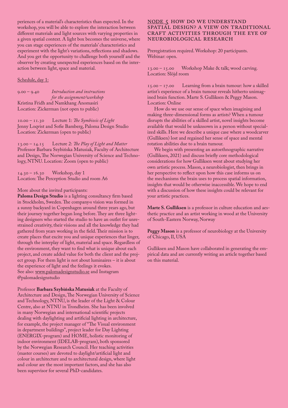periences of a material's characteristics than expected. In the workshop, you will be able to explore the interaction between different materials and light sources with varying properties in a given spatial context. A light box becomes the universe, where you can stage experiences of the materials' characteristics and experiment with the light's variations, reflections and shadows. And you get the opportunity to challenge both yourself and the observer by creating unexpected experiences based on the interaction between light, space and material.

#### Schedule, day 1:

9.00 – 9.40 *Introduction and instructions for the assignment/workshop* Kristina Fridh and Namkhang Anomasiri Location: Zickerman (not open to public)

10.00 – 11.30 Lecture 1: *The Symbiosis of Light* Jenny Loqvist and Sofie Bamberg, Paloma Design Studio Location: Zickerman (open to public)

13.00 – 14.15 Lecture 2: *The Play of Light and Matter* Professor Barbara Szybińska Matusiak, Faculty of Architecture and Design, The Norwegian University of Science and Technology, NTNU. Location: Zoom (open to public)

14.30 – 16.30 Workshop, day 1 Location: The Perception Studio and room A6

#### More about the invited participants:

**Paloma Design Studio** is a lighting consultancy firm based in Stockholm, Sweden. The company›s vision was formed in a sunny backyard in Copenhagen around three years ago, but their journey together began long before. They are three lighting designers who started the studio to have an outlet for unrestrained creativity, their visions and all the knowledge they had gathered from years working in the field. Their mission is to create places that excite you and unique experiences that linger, through the interplay of light, material and space. Regardless of the environment, they want to find what is unique about each project, and create added value for both the client and the project group. For them light is not about luminaires – it is about the experience of light and the feelings it evokes. See also: www.palomadesignstudio.se and Instagram @palomadesignstudio

Professor **Barbara Szybińska Matusiak** at the Faculty of Architecture and Design, The Norwegian University of Science and Technology, NTNU, is the leader of the Light & Colour Centre, also at NTNU in Trondheim. She has been involved in many Norwegian and international scientific projects dealing with daylighting and artificial lighting in architecture, for example, the project manager of "The Visual environment in department buildings", project leader for Day Lighting (ENERGIX-program) and HOME, holistic monitoring of indoor environment (IDELAB-program), both sponsored by the Norwegian Research Council. Her teaching activities (master courses) are devoted to daylight/artificial light and colour in architecture and to architectural design, where light and colour are the most important factors, and she has also been supervisor for several PhD-candidates.

### NODE 5 HOW DO WE UNDERSTAND spatial design? A view on traditional craft activities through the eye of neurobiological research

Preregistration required. Workshop: 20 participants. Webinar: open.

13.00 – 15.00 Workshop Make & talk; wood carving. Location: Slöjd room

15.00 – 17.00 Learning from a brain tumour: how a skilled artist's experience of a brain tumour reveals hitherto unimagined brain function. Marte S. Gulliksen & Peggy Mason. Location: Online

How do we use our sense of space when imagining and making three-dimensional forms as artists? When a tumour disrupts the abilities of a skilled artist, novel insights become available that would be unknsown in a person without specialized skills. Here we describe a unique case where a woodcarver (Gulliksen) lost and regained her sense of space and mental rotation abilities due to a brain tumour.

We begin with presenting an autoethnographic narrative (Gulliksen, 2021) and discuss briefly core methodological considerations for how Gulliksen went about studying her own artistic process. Mason, a neurobiologist, then brings in her perspective to reflect upon how this case informs us on the mechanisms the brain uses to process spatial information, insights that would be otherwise inaccessible. We hope to end with a discussion of how these insights could be relevant for your artistic practices.

**Marte S. Gulliksen** is a professor in culture education and aesthetic practice and an artist working in wood at the University of South-Eastern Norway, Norway

**Peggy Mason** is a professor of neurobiology at the University of Chicago, Il, USA

Gulliksen and Mason have collaborated in generating the empirical data and are currently writing an article together based on this material.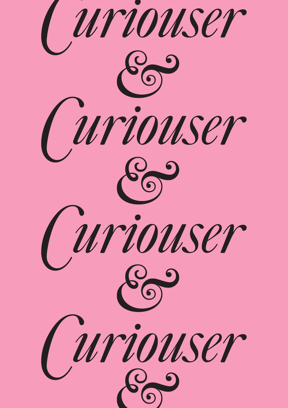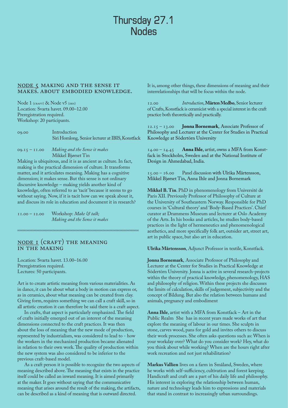# Thursday 27.1 **Nodes**

#### Node 5 Making and the sense it makes. About embodied knowledge.

Node 1 (CRAFT) & Node v5 (IBIS) Location: Svarta havet. 09.00–12.00 Preregistration required. Workshop: 20 participants.

09.00 Introduction Siri Homlong, Senior lecturer at IBIS, Konstfack

09.15 – 11.00 *Making and the Sense it makes* Mikkel Bjørset Tin

Making is ubiquitous, and it is as ancient as culture. In fact, making is the practical dimension of culture. It transforms matter, and it articulates meaning. Making has a cognitive dimension; it makes sense. But this sense is not ordinary discursive knowledge – making yields another kind of knowledge, often referred to as 'tacit' because it seems to go without saying. Now, if it is tacit how can we speak about it, and discuss its role in education and document it in research?

44444444444444444

11.00 - 12.00 Workshop: Make & talk; *Making and the Sense it makes*

# NODE I (CRAFT) THE MEANING in The Making

Location: Svarta havet. 13.00–16.00 Preregistration required. Lectures: 50 participants.

Art is to create artistic meaning from various materialities. As in dance, it can be about what a body in motion can express or, as in ceramics, about what meaning can be created from clay. Giving form, requires something we can call a craft skill, so in all artistic creation it can therefore be said there is a craft aspect.

In crafts, that aspect is particularly emphasized. The field of crafts initially emerged out of an interest of the meaning dimensions connected to the craft practices. It was then about the loss of meaning that the new mode of production, represented by industrialism, was considered to lead to - how the workers in the mechanized production became alienated in relation to their own work. The quality of production within the new system was also considered to be inferior to the previous craft-based model.

As a craft person it is possible to recognize the two aspects of meaning described above. The meaning that exists in the practice itself could be called an inward meaning. It is aimed primarily at the maker. It goes without saying that the communicative meaning that arises around the result of the making, the artifacts, can be described as a kind of meaning that is outward directed.

It is, among other things, these dimensions of meaning and their interrelationships that will be focus within the node.

12.00 *Introduction*, **Mårten Medbo**, Senior lecturer of Crafts, Konstfack is ceramicist with a special interest in the craft practice both theoretically and practically.

12.15 – 13.00 **Jonna Bornemark**, Associate Professor of Philosophy and Lecturer at the Center for Studies in Practical Knowledge at Södertörn University

14.00 – 14.45 **Anna Ihle**, artist, owns a MFA from Konstfack in Stockholm, Sweden and at the National Institute of Design in Ahmedabad, India.

15.00 – 16.00 Panel discussion with Ulrika Mårtensson, Mikkel Bjørset Tin, Anna Ihle and Jonna Bornemark

**Mikkel B. Tin**. PhD in phenomenology from Université de Paris XII. Previously Professor of Philosophy of Culture at the University of Southeastern Norway. Responsible for PhD courses in 'Cultural theory' and 'Body-Based Practices'. Chief curator at Drammens Museum and lecturer at Oslo Academy of the Arts. In his books and articles, he studies body-based practices in the light of hermeneutics and phenomenological aesthetics, and more specifically folk art, outsider art, street art, art in public space, but also art in education.

**Ulrika Mårtensson**, Adjunct Professor in textile, Konstfack.

**Jonna Bornemark**, Associate Professor of Philosophy and Lecturer at the Center for Studies in Practical Knowledge at Södertörn University. Jonna is active in several research-projects within the theory of practical knowledge, phenomenology, HAS and philosophy of religion. Within these projects she discusses the limits of calculation, skills of judgement, subjectivity and the concept of Bildung. But also the relation between humans and animals, pregnancy and embodiment

**Anna Ihle**, artist with a MFA from Konstfack – Art in the Public Realm She has in recent years made works of art that explore the meaning of labour in our times. She sculpts in stone, carves wood, pans for gold and invites others to discuss their work processes. She often asks questions such as: When is your workday over? What do you consider work? Hey, what do you think about while working? When are the hours right after work recreation and not just rehabilitation?

**Markus Vallien** lives on a farm in Småland, Sweden, where he works with self-sufficiency, cultivation and forest keeping. Handicraft and craft are a part of his daily life and philosophy. His interest in exploring the relationship between human, nature and technology leads him to expressions and materials that stand in contrast to increasingly urban surroundings.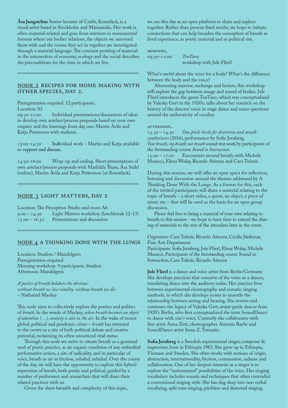**Åsa Jungnelius** Senior lecturer of Crafts, Konstfack, is a visual artist based in Stockholm and Månsamåla. Her work is often material-related and goes from interiors to monumental formats where our bodies' relations, the objects we surround them with and the rooms they act in together are investigated through a material language. The constant positing of material in the intersection of economy, ecology and the social describes the preconditions for the time in which we live.

### Node 2 Recipes for Home making with other species, day 2.

44444444444444444

Preregistration required. 12 participants.

Location: S3<br>09:30-12:00 Individual presentations/discussions of ideas to develop own artefact/process proposals based on your own enquiry and the learnings from day one. Martín Ávila and Katja Pettersson with students.

13:00-14:30 Individual work – Martin and Katja available to support and discuss**.**

14:30-16:00 Wrap-up and ending. Short presentations of own artefact/process proposals with Mathilda Tham, Åsa Ståhl (online), Martín Ávila and Katja Pettersson (at Konstfack).

44444444444444444

#### NODE 3 LIGHT MATTERS, DAY 2

Location: The Perception Studio and room A6 9.00 – 14.30 Light Matters workshop (lunchbreak 12-13) Presentations and discussion.

#### Node 4 A Thinking Done With the Lungs

44444444444444444

Location: Studion / Mandelgren Preregistration required. Morning workshop: 9 participants, Studion Afternoon: Mandelgren

*A poetics of breath belabors the obvious: without breath we lose vitality, without breath we die*  – Nathaniel Mackey

This node aims to collectively explore the poetics and politics of *breath*. In the words of Mackey, *when breath becomes an object of attention (…), anxiety is also in the air*. In the wake of recent global, political and pandemic crises – *breath* has returned to the centre as a site of both political debate and creative potential, reclaiming its often-unnoticed vital status.

Through this node we strive to situate breath as a germinal seed of poetic practice, as an organic condition of any embodied performative action, a site of radicality, and in particular of voice, breath as air in friction, inhaled, exhaled. Over the course of the day, we will have the opportunity to explore this hybrid expression of breath, both poetic and political, guided by a number of performers and researchers that will share their related practices with us.

Given the sheer breadth and complexity of this topic,

we see this day as an open platform to share and explore together. Rather than present fixed results, we hope to initiate connections that can help broaden the conception of breath as lived experience, as poetic material and as political site.

morning,

09:30–12:00: *TonTanz* workshop with Jule Flierl

What's useful about the voice for a body? What's the difference between the body and the voice?

Alternating exercise, exchange and lecture, this workshop will explore the gap between image and sound of bodies. Jule Flierl introduces the genre TonTanz, which was conceptualized by Valeska Gert in the 1920's; talks about her research on the history of the dancers' voice in stage dance and raises questions around the authenticity of vocality.

AFTERNOON,

13.30 – 14.30 *One pitch: birds for distortion and mouth synthesizers* (2016), performance by Sofia Jernberg. *Your breath, my breath; our breath* sound-text work by participants of the freestanding course *Sound in Interaction*. Encounters around breath, with Michele Masucci, Elena Wolay, Ricardo Atienza and Cara Tolmie.

During this session, we will offer an open space for reflection, listening and discussion around the themes addressed by A Thinking Done With the Lungs. As a format for this, each of the invited participants will share a material relating to the topic of breath – a short video, a quote, an object, a piece of music etc – that will be used as the basis for an open group discussion.

Please feel free to bring a material of your own relating to breath to this session - we hope to have time to extend the sharing of materials to the rest of the attendees later in the event.

Organisers: Cara Tolmie, Ricardo Atienza, Cecilia Järdemar, Fine Arts Department.

Participants: Sofia Jernberg, Jule Flierl, Elena Wolay, Michele Masucci, Participants of the freestanding course Sound in Interaction, Cara Tolmie, Ricardo Atienza

**Jule Flierl** is a dance and voice artist from Berlin/Germany. She develops practices that conceive of the voice as a dancer, translating dance into the auditory realm. Her practice lives between experimental choreography and somatic singing methods, in which she develops scores to unsettle the relationship between seeing and hearing. She revives and continues the legacy of Valeska Gert, avant-garde dancer from 1920's Berlin, who first conceptualized the term SoundDance: to dance with one's voice. Currently she collaborates with fine artist Anna Zett, choreographer Antonia Baehr and SoundDance artist Irena Z. Tomazin.

**Sofia Jernberg** is a Swedish experimental singer, composer & improviser, born in Ethiopia 1983. She grew up in Ethiopia, Vietnam and Sweden. She often works with notions of origin, abstraction, internationality, friction, communion, sadness and collaboration. One of her deepest interests as a singer is to explore the "instrumental" possibilities of the voice. Her singing vocabulary includes sounds and techniques that often contradict a conventional singing style. She has dug deep into non verbal vocalizing, split tone singing, pitchless and distorted singing.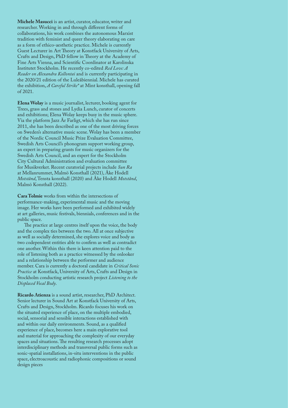**Michele Masucci** is an artist, curator, educator, writer and researcher. Working in and through different forms of collaborations, his work combines the autonomous Marxist tradition with feminist and queer theory elaborating on care as a form of ethico-aesthetic practice. Michele is currently Guest Lecturer in Art Theory at Konstfack University of Arts, Crafts and Design, PhD fellow in Theory at the Academy of Fine Arts Vienna, and Scientific Coordinator at Karolinska Institutet Stockholm. He recently co-edited *Red Love: A Reader on Alexandra Kollontai* and is currently participating in the 2020/21 edition of the Luleåbiennial. Michele has curated the exhibition, *A Careful Strike\** at Mint konsthall, opening fall of 2021.

**Elena Wolay** is a music journalist, lecturer, booking agent for Trees, grass and stones and Lydia Lunch, curator of concerts and exhibitions; Elena Wolay keeps busy in the music sphere. Via the platform Jazz Är Farligt, which she has run since 2011, she has been described as one of the most driving forces on Sweden's alternative music scene. Wolay has been a member of the Nordic Council Music Prize Evaluation Committee, Swedish Arts Council's phonogram support working group, an expert in preparing grants for music organizers for the Swedish Arts Council, and an expert for the Stockholm City Cultural Administration and evaluation committee for Musikverket. Recent curatorial projects include *Sun Ra* at Mellanrummet, Malmö Konsthall (2021), Åke Hodell *Motstånd*, Tensta konsthall (2020) and Åke Hodell *Motstånd*, Malmö Konsthall (2022).

**Cara Tolmie** works from within the intersections of performance-making, experimental music and the moving image. Her works have been performed and exhibited widely at art galleries, music festivals, biennials, conferences and in the public space.

The practice at large centres itself upon the voice, the body and the complex ties between the two. All at once subjective as well as socially determined, she explores voice and body as two codependent entities able to confirm as well as contradict one another. Within this there is keen attention paid to the role of listening both as a practice witnessed by the onlooker and a relationship between the performer and audience member. Cara is currently a doctoral candidate in *Critical Sonic Practice* at Konstfack, University of Arts, Crafts and Design in Stockholm conducting artistic research project *Listening to the Displaced Vocal Body*.

**Ricardo Atienza** is a sound artist, researcher, PhD Architect. Senior lecturer in Sound Art at Konstfack University of Arts, Crafts and Design, Stockholm. Ricardo focuses his work on the situated experience of place, on the multiple embodied, social, sensorial and sensible interactions established with and within our daily environments. Sound, as a qualified experience of place, becomes here a main explorative tool and material for approaching the complexity of our everyday spaces and situations. The resulting research processes adopt interdisciplinary methods and transversal public forms such as sonic-spatial installations, in-situ interventions in the public space, electroacoustic and radiophonic compositions or sound design pieces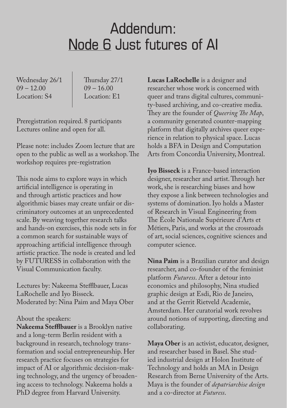# Addendum: Node 6 Just futures of AI

Wednesday 26/1  $09 - 12.00$ Location: S4

Thursday 27/1  $09 - 16.00$ Location: E1

Preregistration required. 8 participants Lectures online and open for all.

Please note: includes Zoom lecture that are open to the public as well as a workshop. The workshop requires pre-registration

This node aims to explore ways in which artificial intelligence is operating in and through artistic practices and how algorithmic biases may create unfair or discriminatory outcomes at an unprecedented scale. By weaving together research talks and hands-on exercises, this node sets in for a common search for sustainable ways of approaching artificial intelligence through artistic practice. The node is created and led by FUTURESS in collaboration with the Visual Communication faculty.

Lectures by: Nakeema Stefflbauer, Lucas LaRochelle and Iyo Bisseck. Moderated by: Nina Paim and Maya Ober

#### About the speakers:

**Nakeema Stefflbauer** is a Brooklyn native and a long-term Berlin resident with a background in research, technology transformation and social entrepreneurship. Her research practice focuses on strategies for impact of AI or algorithmic decision-making technology, and the urgency of broadening access to technology. Nakeema holds a PhD degree from Harvard University.

**Lucas LaRochelle** is a designer and researcher whose work is concerned with queer and trans digital cultures, community-based archiving, and co-creative media. They are the founder of *Queering The Map*, a community generated counter-mapping platform that digitally archives queer experience in relation to physical space. Lucas holds a BFA in Design and Computation Arts from Concordia University, Montreal.

**Iyo Bisseck** is a France-based interaction designer, researcher and artist. Through her work, she is researching biases and how they expose a link between technologies and systems of domination. Iyo holds a Master of Research in Visual Engineering from The École Nationale Supérieure d'Arts et Métiers, Paris, and works at the crossroads of art, social sciences, cognitive sciences and computer science.

**Nina Paim** is a Brazilian curator and design researcher, and co-founder of the feminist platform *Futuress*. After a detour into economics and philosophy, Nina studied graphic design at Esdi, Rio de Janeiro, and at the Gerrit Rietveld Academie, Amsterdam. Her curatorial work revolves around notions of supporting, directing and collaborating.

**Maya Ober** is an activist, educator, designer, and researcher based in Basel. She studied industrial design at Holon Institute of Technology and holds an MA in Design Research from Berne University of the Arts. Maya is the founder of *depatriarchise design* and a co-director at *Futuress*.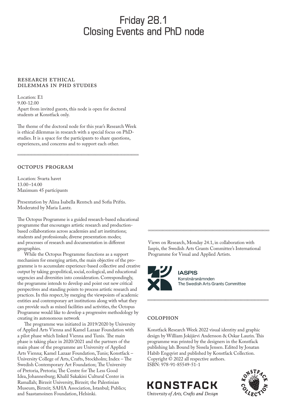# Friday 28.1 Closing Events and PhD node

## RESEARCH ETHICAL dilemmas in PhD studies

Location: E1 9.00-12.00 Apart from invited guests, this node is open for doctoral students at Konstfack only.

The theme of the doctoral node for this year's Research Week is ethical dilemmas in research with a special focus on PhDstudies. It is a space for the participants to share questions, experiences, and concerns and to support each other.

44444444444444444

# OCTOPUS PROGRAM

Location: Svarta havet 13.00–14.00 Maximum 45 participants

Presentation by Alina Isabella Rentsch and Sofia Priftis. Moderated by Maria Lantz.

The Octopus Programme is a guided research-based educational programme that encourages artistic research and productionbased collaborations across academies and art institutions; students and professionals; diverse presentation modes; and processes of research and documentation in different geographies.

While the Octopus Programme functions as a support mechanism for emerging artists, the main objective of the programme is to accumulate experience-based collective and creative output by taking geopolitical, social, ecological, and educational urgencies and diversities into consideration. Correspondingly, the programme intends to develop and point out new critical perspectives and standing points to process artistic research and practices. In this respect, by merging the viewpoints of academic entities and contemporary art institutions along with what they can provide such as mixed facilities and activities, the Octopus Programme would like to develop a progressive methodology by creating its autonomous network

The programme was initiated in 2019/2020 by [University](https://www.dieangewandte.at/)  [of Applied Arts Vienna](https://www.dieangewandte.at/) and [Kamel Lazaar Foundation](http://www.kamellazaarfoundation.org/) with a pilot phase which linked Vienna and Tunis. The main phase is taking place in 2020/2021 and the partners of the main phase of the programme are [University of Applied](https://www.dieangewandte.at/)  [Arts Vienna](https://www.dieangewandte.at/); [Kamel Lazaar Foundation,](http://www.kamellazaarfoundation.org/) Tunis; [Konstfack –](https://www.konstfack.se/en)  [University College of Arts, Crafts, Stockholm;](https://www.konstfack.se/en) [Index – The](http://indexfoundation.se/)  [Swedish Contemporary Art Foundation](http://indexfoundation.se/); [The University](https://www.up.ac.za/)  [of Pretoria,](https://www.up.ac.za/) Pretoria; [The Centre for The Less Good](https://lessgoodidea.com/)  [Idea](https://lessgoodidea.com/), Johannesburg; [Khalil Sakakini Cultural Center](https://sakakini.org/?lang=en) in Ramallah; [Birzeit University,](https://www.birzeit.edu/en/) Birzeit; [the Palestinian](http://www.palmuseum.org/language/english)  [Museum,](http://www.palmuseum.org/language/english) Birzeit; [SAHA Association,](http://www.saha.org.tr/en) Istanbul; [Publics](https://www.publics.fi/); and [Saastamoinen Foundation](https://saastamoinenfoundation.fi/en), Helsinki.

Views on Research, Monday 24.1, in collaboration with Iaspis, the Swedish Arts Grants Committee's International Programme for Visual and Applied Artists.

44444444444444444



**IASPIS** Konstnärsnämnden The Swedish Arts Grants Committee

44444444444444444

# **COLOPHON**

Konstfack Research Week 2022 visual identity and graphic design by William Jokijärvi Andersson & Oskar Laurin. This programme was printed by the designers in the Konstfack publishing lab. Bound by Sissela Jensen. Edited by Jonatan Habib Engqvist and published by Konstfack Collection. Copyright © 2022 all respective authors. ISBN: 978-91-85549-51-1